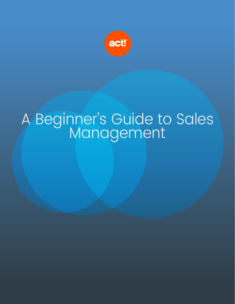

# A Beginner's Guide to Sales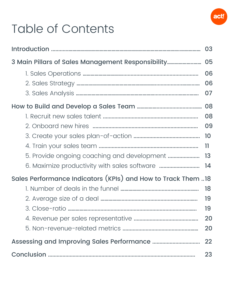

## Table of Contents

|                                                              | 03              |  |  |
|--------------------------------------------------------------|-----------------|--|--|
| 3 Main Pillars of Sales Management Responsibility            | 05              |  |  |
|                                                              | 06              |  |  |
|                                                              | 06              |  |  |
|                                                              | 07              |  |  |
|                                                              | 08              |  |  |
|                                                              | 08              |  |  |
|                                                              | 09              |  |  |
|                                                              |                 |  |  |
|                                                              | $\overline{11}$ |  |  |
|                                                              |                 |  |  |
| 6. Maximize productivity with sales software  14             |                 |  |  |
| Sales Performance Indicators (KPIs) and How to Track Them 18 |                 |  |  |
|                                                              | 18              |  |  |
|                                                              | 19              |  |  |
|                                                              | 19              |  |  |
|                                                              | 20              |  |  |
|                                                              | 20              |  |  |
|                                                              |                 |  |  |
|                                                              |                 |  |  |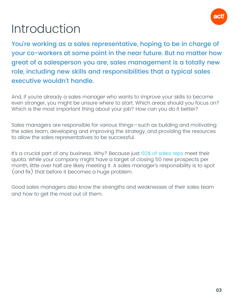

#### <span id="page-2-0"></span>Introduction

You're working as a sales representative, hoping to be in charge of your co-workers at some point in the near future. But no matter how great of a salesperson you are, sales management is a totally new role, including new skills and responsibilities that a typical sales executive wouldn't handle.

And, if you're already a sales manager who wants to improve your skills to become even stronger, you might be unsure where to start. Which areas should you focus on? Which is the most important thing about your job? How can you do it better?

Sales managers are responsible for various things—such as building and motivating the sales team, developing and improving the strategy, and providing the resources to allow the sales representatives to be successful.

It's a crucial part of any business. Why? Because just [60% of sales reps](http://pages.velocify.com/SPOSFindMore.html) meet their quota. While your company might have a target of closing 50 new prospects per month, little over half are likely meeting it. A sales manager's responsibility is to spot (and fix) that before it becomes a huge problem.

Good sales managers also know the strengths and weaknesses of their sales team and how to get the most out of them.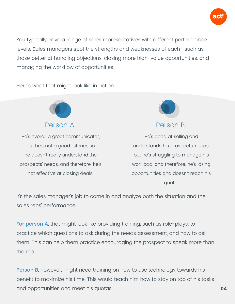

You typically have a range of sales representatives with different performance levels. Sales managers spot the strengths and weaknesses of each—such as those better at handling objections, closing more high-value opportunities, and managing the workflow of opportunities.

Here's what that might look like in action:



He's overall a great communicator, but he's not a good listener, so he doesn't really understand the prospects' needs, and therefore, he's not effective at closing deals.



Person B.

He's good at selling and understands his prospects' needs, but he's struggling to manage his workload, and therefore, he's losing opportunities and doesn't reach his quota.

It's the sales manager's job to come in and analyze both the situation and the sales reps' performance.

For person A, that might look like providing training, such as role-plays, to practice which questions to ask during the needs assessment, and how to ask them. This can help them practice encouraging the prospect to speak more than the rep.

**Person B,** however, might need training on how to use technology towards his benefit to maximize his time. This would teach him how to stay on top of his tasks and opportunities and meet his quotas. **04**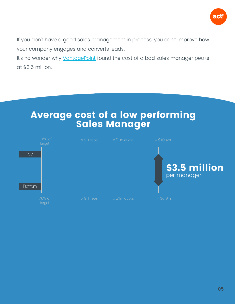

If you don't have a good sales management in process, you can't improve how your company engages and converts leads.

It's no wonder why [VantagePoint](https://www1.vantagepointperformance.com/hubfs/Documents/Flyers/Cost of a Bad Sales Manager.pdf) found the cost of a bad sales manager peaks at \$3.5 million.



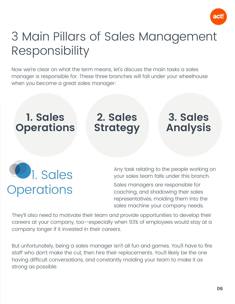

### <span id="page-5-0"></span>3 Main Pillars of Sales Management Responsibility

Now we're clear on what the term means, let's discuss the main tasks a sales manager is responsible for. These three branches will fall under your wheelhouse when you become a great sales manager:

#### **1. Sales Operations**

**2. Sales Strategy**

#### **3. Sales Analysis**

**2.** Sales **Operations** 

Any task relating to the people working on your sales team falls under this branch.

Sales managers are responsible for coaching, and shadowing their sales representatives, molding them into the sales machine your company needs.

They'll also need to motivate their team and provide opportunities to develop their careers at your company, too—especially when 93% of employees would stay at a company longer if it invested in their careers.

But unfortunately, being a sales manager isn't all fun and games. You'll have to fire staff who don't make the cut, then hire their replacements. You'll likely be the one having difficult conversations, and constantly molding your team to make it as strong as possible.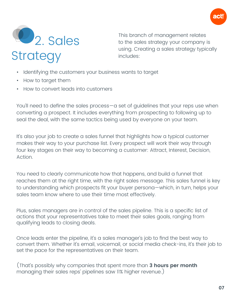

<span id="page-6-0"></span>

This branch of management relates to the sales strategy your company is using. Creating a sales strategy typically includes:

- Identifying the customers your business wants to target
- How to target them
- How to convert leads into customers

You'll need to define the sales process—a set of guidelines that your reps use when converting a prospect. It includes everything from prospecting to following up to seal the deal, with the same tactics being used by everyone on your team.

It's also your job to create a sales funnel that highlights how a typical customer makes their way to your purchase list. Every prospect will work their way through four key stages on their way to becoming a customer: Attract, Interest, Decision, Action.

You need to clearly communicate how that happens, and build a funnel that reaches them at the right time, with the right sales message. This sales funnel is key to understanding which prospects fit your buyer persona—which, in turn, helps your sales team know where to use their time most effectively.

Plus, sales managers are in control of the sales pipeline. This is a specific list of actions that your representatives take to meet their sales goals, ranging from qualifying leads to closing deals.

Once leads enter the pipeline, it's a sales manager's job to find the best way to convert them. Whether it's email, voicemail, or social media check-ins, it's their job to set the pace for the representatives on their team.

(That's possibly why companies that spent more than **3 hours per month** managing their sales reps' pipelines saw 11% higher revenue.)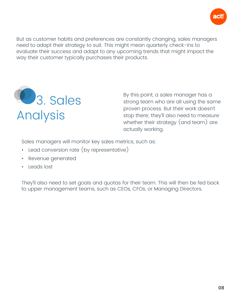

<span id="page-7-0"></span>But as customer habits and preferences are constantly changing, sales managers need to adapt their strategy to suit. This might mean quarterly check-ins to evaluate their success and adapt to any upcoming trends that might impact the way their customer typically purchases their products.



By this point, a sales manager has a strong team who are all using the same proven process. But their work doesn't stop there; they'll also need to measure whether their strategy (and team) are actually working.

Sales managers will monitor key sales metrics, such as:

- Lead conversion rate (by representative)
- Revenue generated
- Leads lost

They'll also need to set goals and quotas for their team. This will then be fed back to upper management teams, such as CEOs, CFOs, or Managing Directors.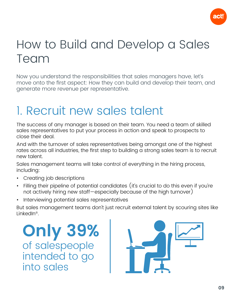

#### <span id="page-8-0"></span>How to Build and Develop a Sales Team

Now you understand the responsibilities that sales managers have, let's move onto the first aspect: How they can build and develop their team, and generate more revenue per representative.

#### 1. Recruit new sales talent

The success of any manager is based on their team. You need a team of skilled sales representatives to put your process in action and speak to prospects to close their deal.

And with the turnover of sales representatives being amongst one of the highest rates across all industries, the first step to building a strong sales team is to recruit new talent.

Sales management teams will take control of everything in the hiring process, including:

- Creating job descriptions
- Filling their pipeline of potential candidates (it's crucial to do this even if you're not actively hiring new staff—especially because of the high turnover)
- Interviewing potential sales representatives

But sales management teams don't just recruit external talent by scouring sites like LinkedIn®.

**Only 39%** of salespeople intended to go into sales

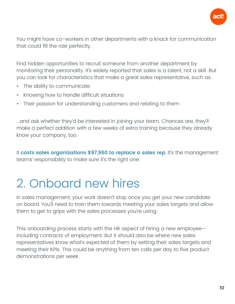

<span id="page-9-0"></span>You might have co-workers in other departments with a knack for communication that could fill the role perfectly.

Find hidden opportunities to recruit someone from another department by monitoring their personality. It's widely reported that sales is a talent, not a skill. But you can look for characteristics that make a great sales representative, such as:

- The ability to communicate
- Knowing how to handle difficult situations
- Their passion for understanding customers and relating to them

...and ask whether they'd be interested in joining your team. Chances are, they'll make a perfect addition with a few weeks of extra training because they already know your company, too.

It **[costs sales organizations \\$97,960 to replace a sales rep](https://cdn2.hubspot.net/hubfs/3319111/ConnectLeader_June2017/PDFs/CL_DePaul_Survey_2__3_.pdf?t=1505990163541)**. It's the management teams' responsibility to make sure it's the right one.

#### 2. Onboard new hires

In sales management, your work doesn't stop once you get your new candidate on board. You'll need to train them towards meeting your sales targets and allow them to get to grips with the sales processes you're using.

This onboarding process starts with the HR aspect of hiring a new employee including contracts of employment. But it should also be where new sales representatives know what's expected of them by setting their sales targets and meeting their KPIs. This could be anything from ten calls per day to five product demonstrations per week.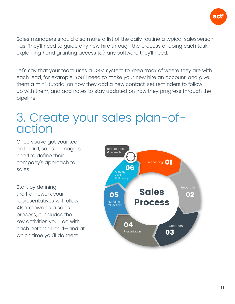

<span id="page-10-0"></span>Sales managers should also make a list of the daily routine a typical salesperson has. They'll need to guide any new hire through the process of doing each task, explaining (and granting access to) any software they'll need.

Let's say that your team uses a CRM system to keep track of where they are with each lead, for example. You'll need to make your new hire an account, and give them a mini-tutorial on how they add a new contact, set reminders to followup with them, and add notes to stay updated on how they progress through the pipeline.

#### 3. Create your sales plan-ofaction

Once you've got your team on board, sales managers need to define their company's approach to sales.

Start by defining the framework your representatives will follow. Also known as a sales process, it includes the key activities you'll do with each potential lead—and at which time you'll do them.

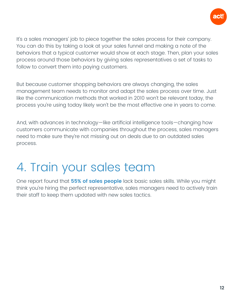

<span id="page-11-0"></span>It's a sales managers' job to piece together the sales process for their company. You can do this by taking a look at your sales funnel and making a note of the behaviors that a typical customer would show at each stage. Then, plan your sales process around those behaviors by giving sales representatives a set of tasks to follow to convert them into paying customers.

But because customer shopping behaviors are always changing, the sales management team needs to monitor and adapt the sales process over time. Just like the communication methods that worked in 2010 won't be relevant today, the process you're using today likely won't be the most effective one in years to come.

And, with advances in technology—like artificial intelligence tools—changing how customers communicate with companies throughout the process, sales managers need to make sure they're not missing out on deals due to an outdated sales process.

#### 4. Train your sales team

One report found that **[55% of sales people](https://www.forbes.com/sites/drewhansen/2012/10/16/6-tips-for-hiring-your-next-sales-all-star/#70e75d6113fa)** lack basic sales skills. While you might think you're hiring the perfect representative, sales managers need to actively train their staff to keep them updated with new sales tactics.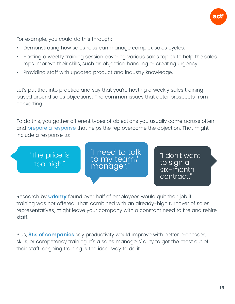

For example, you could do this through:

- Demonstrating how sales reps can manage complex sales cycles.
- Hosting a weekly training session covering various sales topics to help the sales reps improve their skills, such as objection handling or creating urgency.
- Providing staff with updated product and industry knowledge.

Let's put that into practice and say that you're hosting a weekly sales training based around sales objections: The common issues that deter prospects from converting.

To do this, you gather different types of objections you usually come across often and [prepare a response](https://www.act.com/en-uk/act-blog/post/blog/2019/09/18/objection-handling) that helps the rep overcome the objection. That might include a response to:

"The price is too high." "I don't want to sign a six-month contract." "I need to talk<br>to my team/ manager.

Research by **[Udemy](https://research.udemy.com/research_report/2018-skill-gap-report/)** found over half of employees would quit their job if training was not offered. That, combined with an already-high turnover of sales representatives, might leave your company with a constant need to fire and rehire staff.

Plus, **[81% of companies](https://www.springcm.com/blog/10-statistics-every-sales-manager-should-understand)** say productivity would improve with better processes, skills, or competency training. It's a sales managers' duty to get the most out of their staff; ongoing training is the ideal way to do it.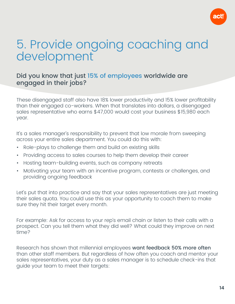

#### <span id="page-13-0"></span>5. Provide ongoing coaching and development

#### Did you know that just [15% of employees](https://www.gallup.com/workplace/238079/state-global-workplace-2017.aspx?g_source=link_newsv9&g_campaign=item_225752&g_medium=copy) worldwide are engaged in their jobs?

These disengaged staff also have 18% lower productivity and 15% lower profitability than their engaged co-workers. When that translates into dollars, a disengaged sales representative who earns \$47,000 would cost your business \$15,980 each year.

It's a sales manager's responsibility to prevent that low morale from sweeping across your entire sales department. You could do this with:

- Role-plays to challenge them and build on existing skills
- Providing access to sales courses to help them develop their career
- Hosting team-building events, such as company retreats
- Motivating your team with an incentive program, contests or challenges, and providing ongoing feedback

Let's put that into practice and say that your sales representatives are just meeting their sales quota. You could use this as your opportunity to coach them to make sure they hit their target every month.

For example: Ask for access to your rep's email chain or listen to their calls with a prospect. Can you tell them what they did well? What could they improve on next time?

Research has shown that millennial employees want feedback 50% more often than other staff members. But regardless of how often you coach and mentor your sales representatives, your duty as a sales manager is to schedule check-ins that guide your team to meet their targets: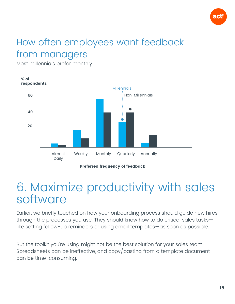

#### <span id="page-14-0"></span>How often employees want feedback from managers

Most millennials prefer monthly.



Preferred frequency of feedback

#### 6. Maximize productivity with sales software

Earlier, we briefly touched on how your onboarding process should guide new hires through the processes you use. They should know how to do critical sales tasks like setting follow-up reminders or using email templates—as soon as possible.

But the toolkit you're using might not be the best solution for your sales team. Spreadsheets can be ineffective, and copy/pasting from a template document can be time-consuming.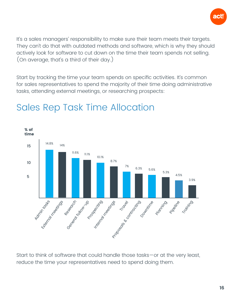

It's a sales managers' responsibility to make sure their team meets their targets. They can't do that with outdated methods and software, which is why they should actively look for software to cut down on the time their team spends not selling. (On average, that's a third of their day.)

Start by tracking the time your team spends on specific activities. It's common for sales representatives to spend the majority of their time doing administrative tasks, attending external meetings, or researching prospects:



#### Sales Rep Task Time Allocation

Start to think of software that could handle those tasks—or at the very least, reduce the time your representatives need to spend doing them.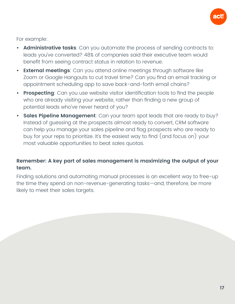

For example:

- **• Administrative tasks**: Can you automate the process of sending contracts to leads you've converted? 48% of companies said their executive team would benefit from seeing contract status in relation to revenue.
- **• External meetings**: Can you attend online meetings through software like Zoom or Google Hangouts to cut travel time? Can you find an email tracking or appointment scheduling app to save back-and-forth email chains?
- **• Prospecting**: Can you use website visitor identification tools to find the people who are already visiting your website, rather than finding a new group of potential leads who've never heard of you?
- **• Sales Pipeline Management**: Can your team spot leads that are ready to buy? Instead of guessing at the prospects almost ready to convert, CRM software can help you manage your sales pipeline and flag prospects who are ready to buy for your reps to prioritize. It's the easiest way to find (and focus on) your most valuable opportunities to beat sales quotas.

#### **Remember: A key part of sales management is maximizing the output of your team.**

Finding solutions and automating manual processes is an excellent way to free-up the time they spend on non-revenue-generating tasks—and, therefore, be more likely to meet their sales targets.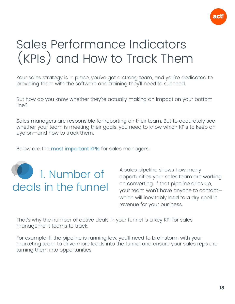

#### <span id="page-17-0"></span>Sales Performance Indicators (KPIs) and How to Track Them

Your sales strategy is in place, you've got a strong team, and you're dedicated to providing them with the software and training they'll need to succeed.

But how do you know whether they're actually making an impact on your bottom line?

Sales managers are responsible for reporting on their team. But to accurately see whether your team is meeting their goals, you need to know which KPIs to keep an eye on—and how to track them.

Below are the [most important KPIs](https://www.act.com/en-uk/kpi-for-sales) for sales managers:



A sales pipeline shows how many opportunities your sales team are working on converting. If that pipeline dries up, your team won't have anyone to contact which will inevitably lead to a dry spell in revenue for your business.

That's why the number of active deals in your funnel is a key KPI for sales management teams to track.

For example: If the pipeline is running low, you'll need to brainstorm with your marketing team to drive more leads into the funnel and ensure your sales reps are turning them into opportunities.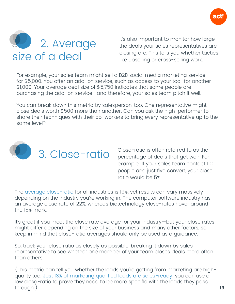

<span id="page-18-0"></span>

It's also important to monitor how large the deals your sales representatives are closing are. This tells you whether tactics like upselling or cross-selling work.

For example, your sales team might sell a B2B social media marketing service for \$5,000. You offer an add-on service, such as access to your tool, for another \$1,000. Your average deal size of \$5,750 indicates that some people are purchasing the add-on service—and therefore, your sales team pitch it well.

You can break down this metric by salesperson, too. One representative might close deals worth \$500 more than another. Can you ask the high-performer to share their techniques with their co-workers to bring every representative up to the same level?



3. Close-ratio is often referred to as the<br>Percentage of deals that get won. For percentage of deals that get won. For example: If your sales team contact 100 people and just five convert, your close ratio would be 5%.

The [average close-ratio](https://www.hubspot.com/sales-close-rate) for all industries is 19%, yet results can vary massively depending on the industry you're working in. The computer software industry has an average close rate of 22%, whereas biotechnology close-rates hover around the 15% mark.

It's great if you meet the close rate average for your industry—but your close rates might differ depending on the size of your business and many other factors, so keep in mind that close-ratio averages should only be used as a guidance.

So, track your close ratio as closely as possible, breaking it down by sales representative to see whether one member of your team closes deals more often than others.

(This metric can tell you whether the leads you're getting from marketing are highquality too. [Just 13% of marketing qualified leads are sales-ready](https://www.geckoboard.com/learn/kpi-examples/sales-kpis/mql-to-sql-conversion-rate/); you can use a low close-ratio to prove they need to be more specific with the leads they pass through.) **19**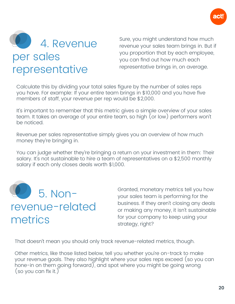

<span id="page-19-0"></span>

Sure, you might understand how much revenue your sales team brings in. But if you proportion that by each employee, you can find out how much each representative brings in, on average.

Calculate this by dividing your total sales figure by the number of sales reps you have. For example: If your entire team brings in \$10,000 and you have five members of staff, your revenue per rep would be \$2,000.

It's important to remember that this metric gives a simple overview of your sales team. It takes an average of your entire team, so high (or low) performers won't be noticed.

Revenue per sales representative simply gives you an overview of how much money they're bringing in.

You can judge whether they're bringing a return on your investment in them: Their salary. It's not sustainable to hire a team of representatives on a \$2,500 monthly salary if each only closes deals worth \$1,000.



#### revenue-related metrics

Granted, monetary metrics tell you how your sales team is performing for the business. If they aren't closing any deals or making any money, it isn't sustainable for your company to keep using your strategy, right?

That doesn't mean you should only track revenue-related metrics, though.

Other metrics, like those listed below, tell you whether you're on-track to make your revenue goals. They also highlight where your sales reps exceed (so you can hone-in on them going forward), and spot where you might be going wrong (so you can fix it.)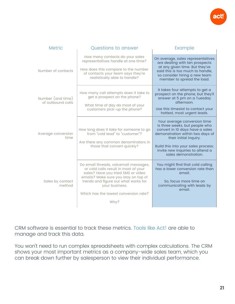

| <b>Metric</b>                          | Questions to answer                                                                                                                                                                                                                                                    | Example                                                                                                                                                                                                                                                            |
|----------------------------------------|------------------------------------------------------------------------------------------------------------------------------------------------------------------------------------------------------------------------------------------------------------------------|--------------------------------------------------------------------------------------------------------------------------------------------------------------------------------------------------------------------------------------------------------------------|
| Number of contacts                     | How many contacts do your sales<br>representatives handle at one time?<br>How does this compare to the number<br>of contacts your team says they're<br>realistically able to handle?                                                                                   | On average, sales representatives<br>are dealing with ten prospects<br>at any given time. But they've<br>said this is too much to handle,<br>so consider hiring a new team<br>member to spread the load.                                                           |
| Number (and time)<br>of outbound calls | How many call attempts does it take to<br>get a prospect on the phone?<br>What time of day do most of your<br>customers pick-up the phone?                                                                                                                             | It takes four attempts to get a<br>prospect on the phone, but they'll<br>answer at 5 pm on a Tuesday<br>afternoon.<br>Use this timeslot to contact your<br>hottest, most urgent leads.                                                                             |
| Average conversion<br>time             | How long does it take for someone to go<br>from "cold lead" to "customer"?<br>Are there any common denominators in<br>those that convert quickly?                                                                                                                      | Your average conversion time<br>is three weeks, but people who<br>convert in 10 days have a sales<br>demonstration within two days of<br>their initial inquiry.<br>Build this into your sales process;<br>invite new inquiries to attend a<br>sales demonstration. |
| Sales by contact<br>method             | Do email threads, voicemail messages,<br>or cold calls result in most of your<br>sales? Have you tried SMS or video<br>emails? Make sure you stay on top of<br>trends and figure out what works for<br>your business.<br>Which has the lowest conversion rate?<br>Why? | You might find that cold calling<br>has a lower conversion rate than<br>email.<br>So, focus more time on<br>communicating with leads by<br>email.                                                                                                                  |

CRM software is essential to track these metrics. [Tools like Act!](https://www.act.com/en-uk/products/features) are able to manage and track this data.

You won't need to run complex spreadsheets with complex calculations. The CRM shows your most important metrics as a company-wide sales team, which you can break down further by salesperson to view their individual performance.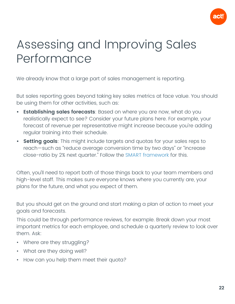

#### <span id="page-21-0"></span>Assessing and Improving Sales Performance

We already know that a large part of sales management is reporting.

But sales reporting goes beyond taking key sales metrics at face value. You should be using them for other activities, such as:

- **• Establishing sales forecasts**: Based on where you are now, what do you realistically expect to see? Consider your future plans here. For example, your forecast of revenue per representative might increase because you're adding regular training into their schedule.
- **• Setting goals**: This might include targets and quotas for your sales reps to reach—such as "reduce average conversion time by two days" or "increase close-ratio by 2% next quarter." Follow the [SMART framework](https://www.mindtools.com/pages/article/smart-goals.htm) for this.

Often, you'll need to report both of those things back to your team members and high-level staff. This makes sure everyone knows where you currently are, your plans for the future, and what you expect of them.

But you should get on the ground and start making a plan of action to meet your goals and forecasts.

This could be through performance reviews, for example. Break down your most important metrics for each employee, and schedule a quarterly review to look over them. Ask:

- Where are they struggling?
- What are they doing well?
- How can you help them meet their quota?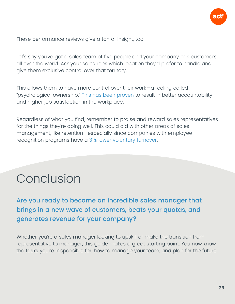

<span id="page-22-0"></span>These performance reviews give a ton of insight, too.

Let's say you've got a sales team of five people and your company has customers all over the world. Ask your sales reps which location they'd prefer to handle and give them exclusive control over that territory.

This allows them to have more control over their work—a feeling called "psychological ownership." [This has been proven](https://www.cio.com/article/3019302/let-go-of-control-for-more-engaged-employees.html) to result in better accountability and higher job satisfaction in the workplace.

Regardless of what you find, remember to praise and reward sales representatives for the things they're doing well. This could aid with other areas of sales management, like retention—especially since companies with employee recognition programs have a [31% lower voluntary turnover.](https://www.forbes.com/sites/joshbersin/2012/06/13/new-research-unlocks-the-secret-of-employee-recognition/#49b977e95276)

#### Conclusion

Are you ready to become an incredible sales manager that brings in a new wave of customers, beats your quotas, and generates revenue for your company?

Whether you're a sales manager looking to upskill or make the transition from representative to manager, this guide makes a great starting point. You now know the tasks you're responsible for, how to manage your team, and plan for the future.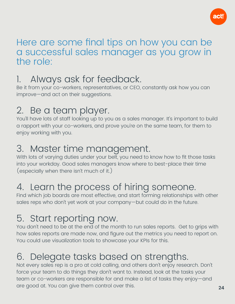

#### Here are some final tips on how you can be a successful sales manager as you grow in the role:

#### Always ask for feedback.

Be it from your co-workers, representatives, or CEO, constantly ask how you can improve—and act on their suggestions.

#### 2. Be a team player.

You'll have lots of staff looking up to you as a sales manager. It's important to build a rapport with your co-workers, and prove you're on the same team, for them to enjoy working with you.

#### 3. Master time management.

With lots of varying duties under your belt, you need to know how to fit those tasks into your workday. Good sales managers know where to best-place their time (especially when there isn't much of it.)

#### 4. Learn the process of hiring someone.

Find which job boards are most effective, and start forming relationships with other sales reps who don't yet work at your company—but could do in the future.

#### 5. Start reporting now.

You don't need to be at the end of the month to run sales reports. Get to grips with how sales reports are made now, and figure out the metrics you need to report on. You could use visualization tools to showcase your KPIs for this.

#### 6. Delegate tasks based on strengths.

Not every sales rep is a pro at cold calling, and others don't enjoy research. Don't force your team to do things they don't want to. Instead, look at the tasks your team or co-workers are responsible for and make a list of tasks they enjoy—and are good at. You can give them control over this. **<sup>24</sup>**